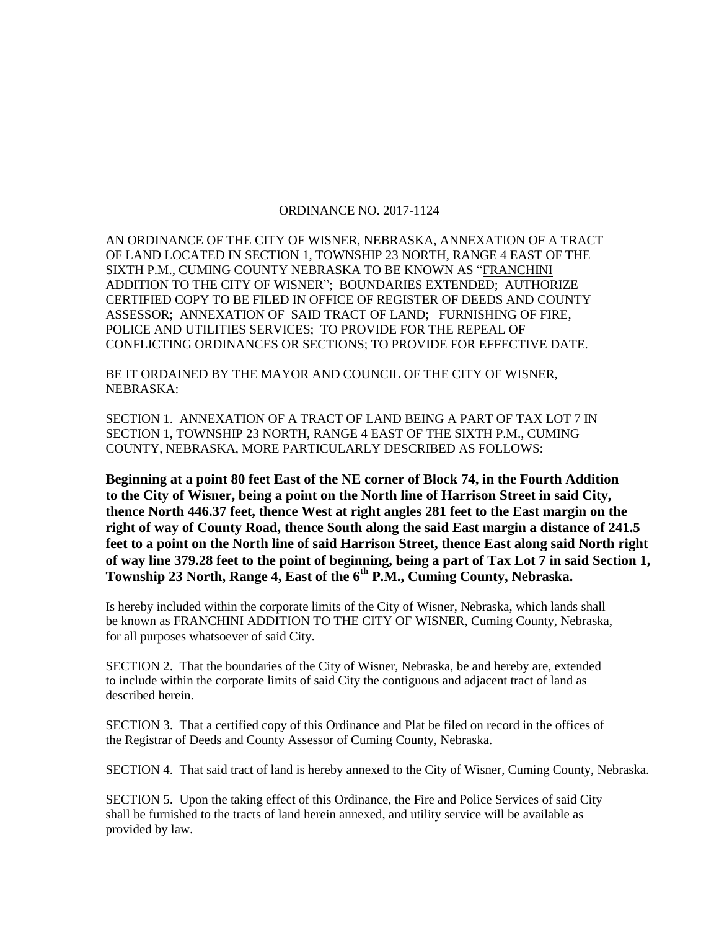## ORDINANCE NO. 2017-1124

AN ORDINANCE OF THE CITY OF WISNER, NEBRASKA, ANNEXATION OF A TRACT OF LAND LOCATED IN SECTION 1, TOWNSHIP 23 NORTH, RANGE 4 EAST OF THE SIXTH P.M., CUMING COUNTY NEBRASKA TO BE KNOWN AS "FRANCHINI ADDITION TO THE CITY OF WISNER"; BOUNDARIES EXTENDED; AUTHORIZE CERTIFIED COPY TO BE FILED IN OFFICE OF REGISTER OF DEEDS AND COUNTY ASSESSOR; ANNEXATION OF SAID TRACT OF LAND; FURNISHING OF FIRE, POLICE AND UTILITIES SERVICES; TO PROVIDE FOR THE REPEAL OF CONFLICTING ORDINANCES OR SECTIONS; TO PROVIDE FOR EFFECTIVE DATE.

BE IT ORDAINED BY THE MAYOR AND COUNCIL OF THE CITY OF WISNER, NEBRASKA:

SECTION 1. ANNEXATION OF A TRACT OF LAND BEING A PART OF TAX LOT 7 IN SECTION 1, TOWNSHIP 23 NORTH, RANGE 4 EAST OF THE SIXTH P.M., CUMING COUNTY, NEBRASKA, MORE PARTICULARLY DESCRIBED AS FOLLOWS:

**Beginning at a point 80 feet East of the NE corner of Block 74, in the Fourth Addition to the City of Wisner, being a point on the North line of Harrison Street in said City, thence North 446.37 feet, thence West at right angles 281 feet to the East margin on the right of way of County Road, thence South along the said East margin a distance of 241.5 feet to a point on the North line of said Harrison Street, thence East along said North right of way line 379.28 feet to the point of beginning, being a part of Tax Lot 7 in said Section 1, Township 23 North, Range 4, East of the 6th P.M., Cuming County, Nebraska.** 

Is hereby included within the corporate limits of the City of Wisner, Nebraska, which lands shall be known as FRANCHINI ADDITION TO THE CITY OF WISNER, Cuming County, Nebraska, for all purposes whatsoever of said City.

SECTION 2. That the boundaries of the City of Wisner, Nebraska, be and hereby are, extended to include within the corporate limits of said City the contiguous and adjacent tract of land as described herein.

SECTION 3. That a certified copy of this Ordinance and Plat be filed on record in the offices of the Registrar of Deeds and County Assessor of Cuming County, Nebraska.

SECTION 4. That said tract of land is hereby annexed to the City of Wisner, Cuming County, Nebraska.

SECTION 5. Upon the taking effect of this Ordinance, the Fire and Police Services of said City shall be furnished to the tracts of land herein annexed, and utility service will be available as provided by law.